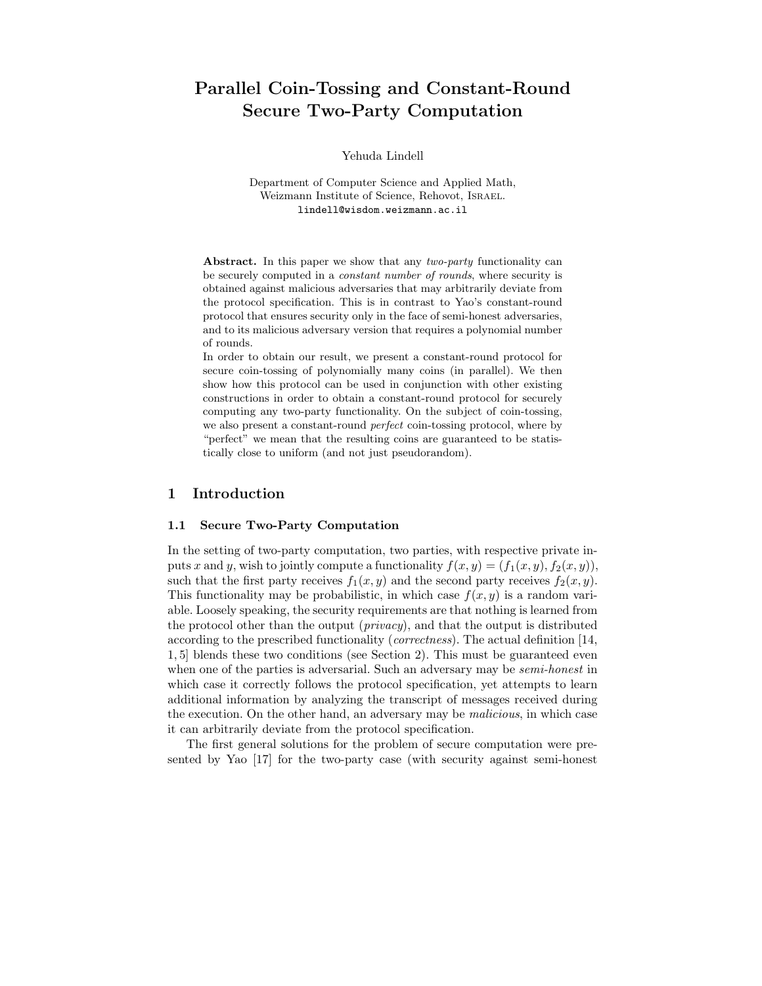# Parallel Coin-Tossing and Constant-Round Secure Two-Party Computation

Yehuda Lindell

Department of Computer Science and Applied Math, Weizmann Institute of Science, Rehovot, Israel. lindell@wisdom.weizmann.ac.il

Abstract. In this paper we show that any *two-party* functionality can be securely computed in a constant number of rounds, where security is obtained against malicious adversaries that may arbitrarily deviate from the protocol specification. This is in contrast to Yao's constant-round protocol that ensures security only in the face of semi-honest adversaries, and to its malicious adversary version that requires a polynomial number of rounds.

In order to obtain our result, we present a constant-round protocol for secure coin-tossing of polynomially many coins (in parallel). We then show how this protocol can be used in conjunction with other existing constructions in order to obtain a constant-round protocol for securely computing any two-party functionality. On the subject of coin-tossing, we also present a constant-round perfect coin-tossing protocol, where by "perfect" we mean that the resulting coins are guaranteed to be statistically close to uniform (and not just pseudorandom).

# 1 Introduction

### 1.1 Secure Two-Party Computation

In the setting of two-party computation, two parties, with respective private inputs x and y, wish to jointly compute a functionality  $f(x, y) = (f_1(x, y), f_2(x, y)),$ such that the first party receives  $f_1(x, y)$  and the second party receives  $f_2(x, y)$ . This functionality may be probabilistic, in which case  $f(x, y)$  is a random variable. Loosely speaking, the security requirements are that nothing is learned from the protocol other than the output (privacy), and that the output is distributed according to the prescribed functionality (correctness). The actual definition [14, 1, 5] blends these two conditions (see Section 2). This must be guaranteed even when one of the parties is adversarial. Such an adversary may be *semi-honest* in which case it correctly follows the protocol specification, yet attempts to learn additional information by analyzing the transcript of messages received during the execution. On the other hand, an adversary may be malicious, in which case it can arbitrarily deviate from the protocol specification.

The first general solutions for the problem of secure computation were presented by Yao [17] for the two-party case (with security against semi-honest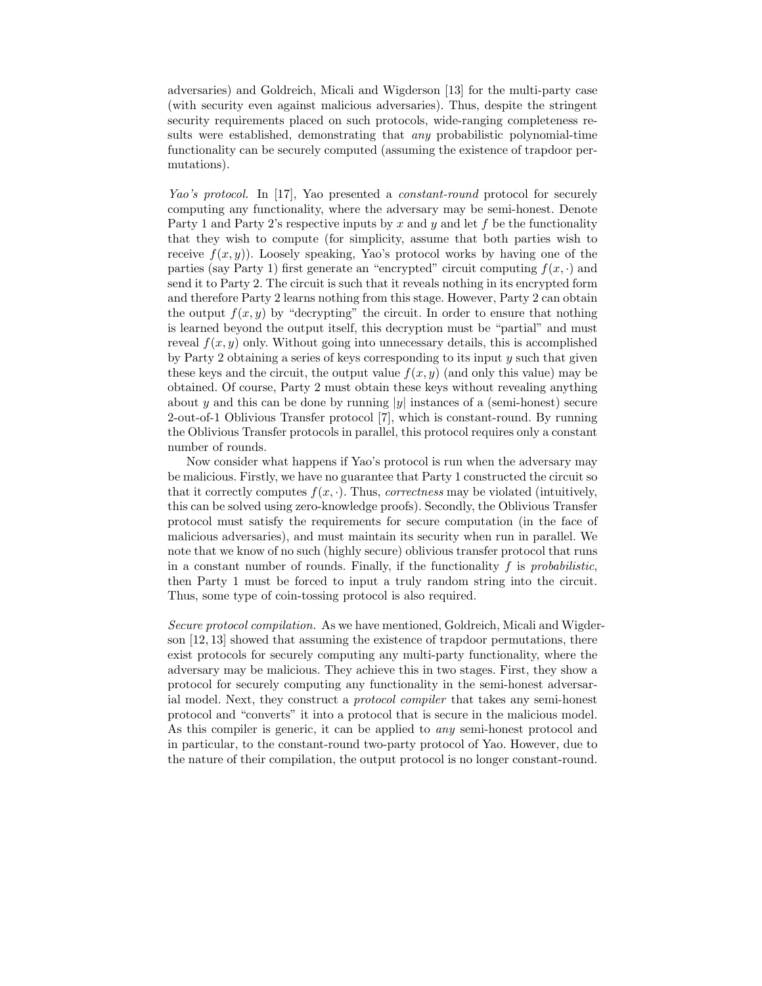adversaries) and Goldreich, Micali and Wigderson [13] for the multi-party case (with security even against malicious adversaries). Thus, despite the stringent security requirements placed on such protocols, wide-ranging completeness results were established, demonstrating that any probabilistic polynomial-time functionality can be securely computed (assuming the existence of trapdoor permutations).

Yao's protocol. In [17], Yao presented a constant-round protocol for securely computing any functionality, where the adversary may be semi-honest. Denote Party 1 and Party 2's respective inputs by x and y and let f be the functionality that they wish to compute (for simplicity, assume that both parties wish to receive  $f(x, y)$ ). Loosely speaking, Yao's protocol works by having one of the parties (say Party 1) first generate an "encrypted" circuit computing  $f(x, \cdot)$  and send it to Party 2. The circuit is such that it reveals nothing in its encrypted form and therefore Party 2 learns nothing from this stage. However, Party 2 can obtain the output  $f(x, y)$  by "decrypting" the circuit. In order to ensure that nothing is learned beyond the output itself, this decryption must be "partial" and must reveal  $f(x, y)$  only. Without going into unnecessary details, this is accomplished by Party 2 obtaining a series of keys corresponding to its input  $y$  such that given these keys and the circuit, the output value  $f(x, y)$  (and only this value) may be obtained. Of course, Party 2 must obtain these keys without revealing anything about y and this can be done by running  $|y|$  instances of a (semi-honest) secure 2-out-of-1 Oblivious Transfer protocol [7], which is constant-round. By running the Oblivious Transfer protocols in parallel, this protocol requires only a constant number of rounds.

Now consider what happens if Yao's protocol is run when the adversary may be malicious. Firstly, we have no guarantee that Party 1 constructed the circuit so that it correctly computes  $f(x, \cdot)$ . Thus, *correctness* may be violated (intuitively, this can be solved using zero-knowledge proofs). Secondly, the Oblivious Transfer protocol must satisfy the requirements for secure computation (in the face of malicious adversaries), and must maintain its security when run in parallel. We note that we know of no such (highly secure) oblivious transfer protocol that runs in a constant number of rounds. Finally, if the functionality  $f$  is probabilistic, then Party 1 must be forced to input a truly random string into the circuit. Thus, some type of coin-tossing protocol is also required.

Secure protocol compilation. As we have mentioned, Goldreich, Micali and Wigderson [12, 13] showed that assuming the existence of trapdoor permutations, there exist protocols for securely computing any multi-party functionality, where the adversary may be malicious. They achieve this in two stages. First, they show a protocol for securely computing any functionality in the semi-honest adversarial model. Next, they construct a protocol compiler that takes any semi-honest protocol and "converts" it into a protocol that is secure in the malicious model. As this compiler is generic, it can be applied to any semi-honest protocol and in particular, to the constant-round two-party protocol of Yao. However, due to the nature of their compilation, the output protocol is no longer constant-round.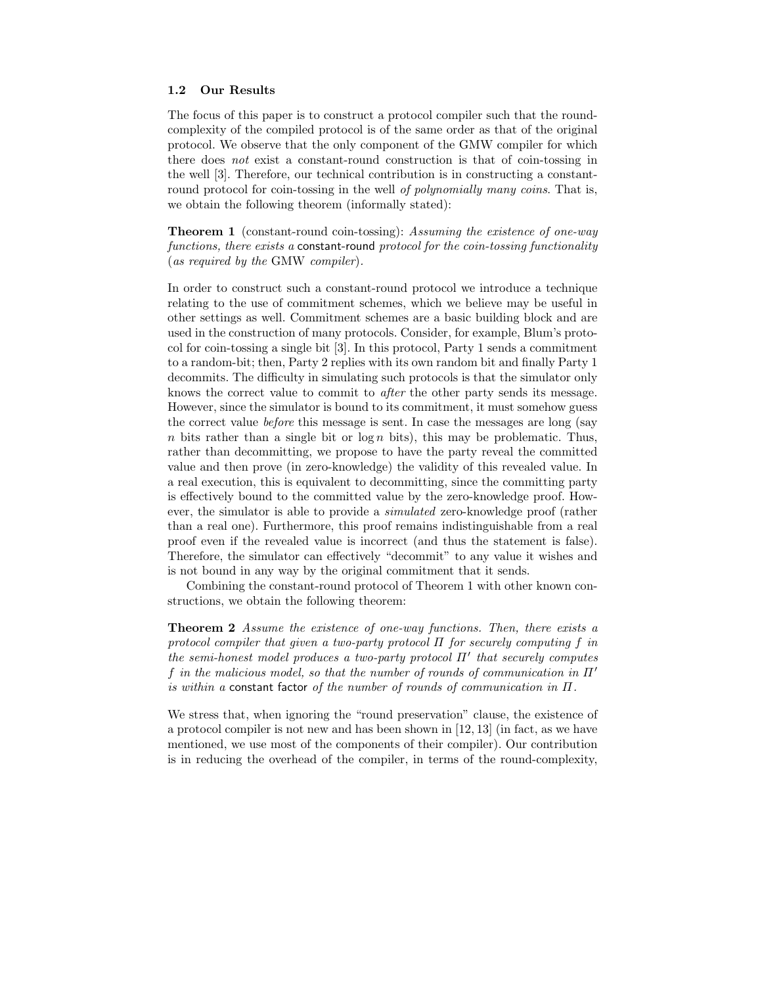### 1.2 Our Results

The focus of this paper is to construct a protocol compiler such that the roundcomplexity of the compiled protocol is of the same order as that of the original protocol. We observe that the only component of the GMW compiler for which there does not exist a constant-round construction is that of coin-tossing in the well [3]. Therefore, our technical contribution is in constructing a constantround protocol for coin-tossing in the well of polynomially many coins. That is, we obtain the following theorem (informally stated):

Theorem 1 (constant-round coin-tossing): Assuming the existence of one-way functions, there exists a constant-round protocol for the coin-tossing functionality (as required by the GMW compiler).

In order to construct such a constant-round protocol we introduce a technique relating to the use of commitment schemes, which we believe may be useful in other settings as well. Commitment schemes are a basic building block and are used in the construction of many protocols. Consider, for example, Blum's protocol for coin-tossing a single bit [3]. In this protocol, Party 1 sends a commitment to a random-bit; then, Party 2 replies with its own random bit and finally Party 1 decommits. The difficulty in simulating such protocols is that the simulator only knows the correct value to commit to after the other party sends its message. However, since the simulator is bound to its commitment, it must somehow guess the correct value before this message is sent. In case the messages are long (say n bits rather than a single bit or  $\log n$  bits), this may be problematic. Thus, rather than decommitting, we propose to have the party reveal the committed value and then prove (in zero-knowledge) the validity of this revealed value. In a real execution, this is equivalent to decommitting, since the committing party is effectively bound to the committed value by the zero-knowledge proof. However, the simulator is able to provide a simulated zero-knowledge proof (rather than a real one). Furthermore, this proof remains indistinguishable from a real proof even if the revealed value is incorrect (and thus the statement is false). Therefore, the simulator can effectively "decommit" to any value it wishes and is not bound in any way by the original commitment that it sends.

Combining the constant-round protocol of Theorem 1 with other known constructions, we obtain the following theorem:

Theorem 2 Assume the existence of one-way functions. Then, there exists a protocol compiler that given a two-party protocol Π for securely computing f in the semi-honest model produces a two-party protocol  $\Pi'$  that securely computes f in the malicious model, so that the number of rounds of communication in  $\Pi'$ is within a constant factor of the number of rounds of communication in  $\Pi$ .

We stress that, when ignoring the "round preservation" clause, the existence of a protocol compiler is not new and has been shown in [12, 13] (in fact, as we have mentioned, we use most of the components of their compiler). Our contribution is in reducing the overhead of the compiler, in terms of the round-complexity,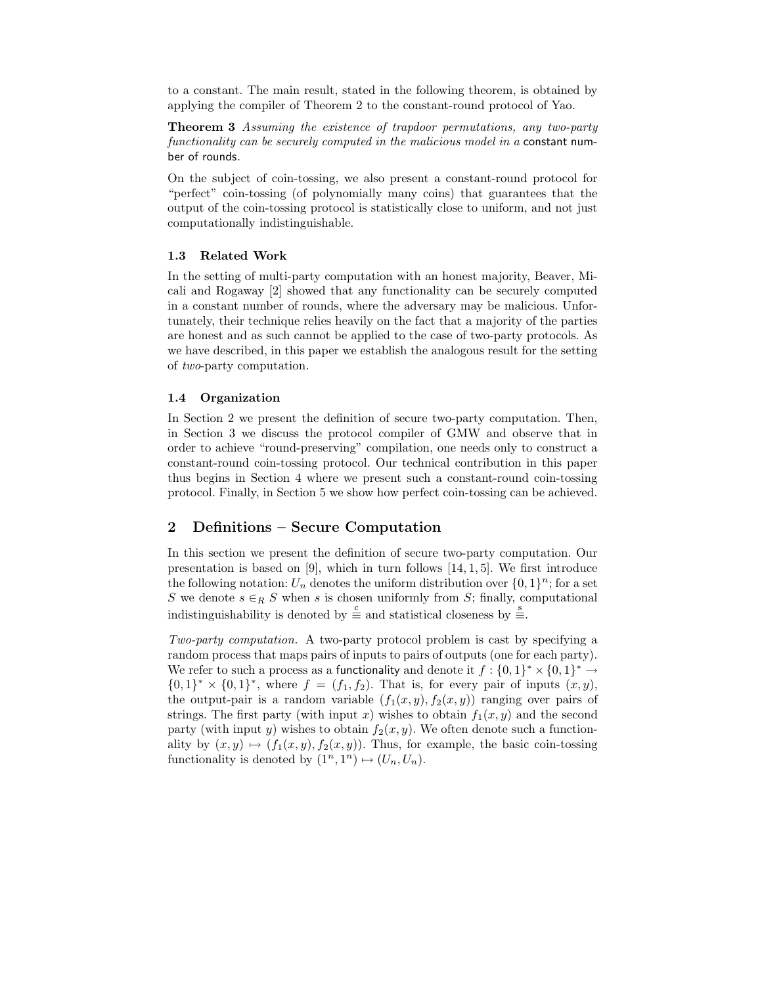to a constant. The main result, stated in the following theorem, is obtained by applying the compiler of Theorem 2 to the constant-round protocol of Yao.

Theorem 3 Assuming the existence of trapdoor permutations, any two-party functionality can be securely computed in the malicious model in a constant number of rounds.

On the subject of coin-tossing, we also present a constant-round protocol for "perfect" coin-tossing (of polynomially many coins) that guarantees that the output of the coin-tossing protocol is statistically close to uniform, and not just computationally indistinguishable.

# 1.3 Related Work

In the setting of multi-party computation with an honest majority, Beaver, Micali and Rogaway [2] showed that any functionality can be securely computed in a constant number of rounds, where the adversary may be malicious. Unfortunately, their technique relies heavily on the fact that a majority of the parties are honest and as such cannot be applied to the case of two-party protocols. As we have described, in this paper we establish the analogous result for the setting of two-party computation.

## 1.4 Organization

In Section 2 we present the definition of secure two-party computation. Then, in Section 3 we discuss the protocol compiler of GMW and observe that in order to achieve "round-preserving" compilation, one needs only to construct a constant-round coin-tossing protocol. Our technical contribution in this paper thus begins in Section 4 where we present such a constant-round coin-tossing protocol. Finally, in Section 5 we show how perfect coin-tossing can be achieved.

# 2 Definitions – Secure Computation

In this section we present the definition of secure two-party computation. Our presentation is based on  $[9]$ , which in turn follows  $[14, 1, 5]$ . We first introduce the following notation:  $U_n$  denotes the uniform distribution over  $\{0,1\}^n$ ; for a set S we denote  $s \in_R S$  when s is chosen uniformly from S; finally, computational indistinguishability is denoted by  $\stackrel{c}{\equiv}$  and statistical closeness by  $\stackrel{s}{\equiv}$ .

Two-party computation. A two-party protocol problem is cast by specifying a random process that maps pairs of inputs to pairs of outputs (one for each party). We refer to such a process as a functionality and denote it  $f: \{0,1\}^* \times \{0,1\}^* \to$  ${0,1}^* \times {0,1}^*$ , where  $f = (f_1, f_2)$ . That is, for every pair of inputs  $(x, y)$ , the output-pair is a random variable  $(f_1(x, y), f_2(x, y))$  ranging over pairs of strings. The first party (with input x) wishes to obtain  $f_1(x, y)$  and the second party (with input y) wishes to obtain  $f_2(x, y)$ . We often denote such a functionality by  $(x, y) \mapsto (f_1(x, y), f_2(x, y))$ . Thus, for example, the basic coin-tossing functionality is denoted by  $(1^n, 1^n) \mapsto (U_n, U_n)$ .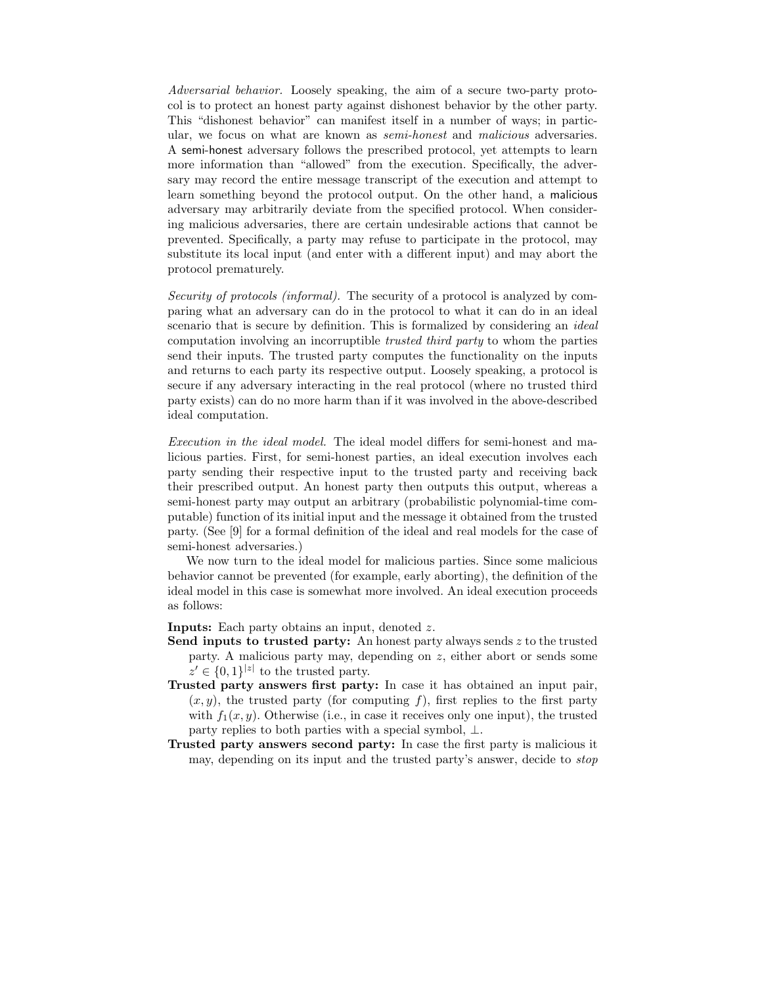Adversarial behavior. Loosely speaking, the aim of a secure two-party protocol is to protect an honest party against dishonest behavior by the other party. This "dishonest behavior" can manifest itself in a number of ways; in particular, we focus on what are known as semi-honest and malicious adversaries. A semi-honest adversary follows the prescribed protocol, yet attempts to learn more information than "allowed" from the execution. Specifically, the adversary may record the entire message transcript of the execution and attempt to learn something beyond the protocol output. On the other hand, a malicious adversary may arbitrarily deviate from the specified protocol. When considering malicious adversaries, there are certain undesirable actions that cannot be prevented. Specifically, a party may refuse to participate in the protocol, may substitute its local input (and enter with a different input) and may abort the protocol prematurely.

Security of protocols (informal). The security of a protocol is analyzed by comparing what an adversary can do in the protocol to what it can do in an ideal scenario that is secure by definition. This is formalized by considering an *ideal* computation involving an incorruptible trusted third party to whom the parties send their inputs. The trusted party computes the functionality on the inputs and returns to each party its respective output. Loosely speaking, a protocol is secure if any adversary interacting in the real protocol (where no trusted third party exists) can do no more harm than if it was involved in the above-described ideal computation.

Execution in the ideal model. The ideal model differs for semi-honest and malicious parties. First, for semi-honest parties, an ideal execution involves each party sending their respective input to the trusted party and receiving back their prescribed output. An honest party then outputs this output, whereas a semi-honest party may output an arbitrary (probabilistic polynomial-time computable) function of its initial input and the message it obtained from the trusted party. (See [9] for a formal definition of the ideal and real models for the case of semi-honest adversaries.)

We now turn to the ideal model for malicious parties. Since some malicious behavior cannot be prevented (for example, early aborting), the definition of the ideal model in this case is somewhat more involved. An ideal execution proceeds as follows:

Inputs: Each party obtains an input, denoted z.

- Send inputs to trusted party: An honest party always sends  $z$  to the trusted party. A malicious party may, depending on z, either abort or sends some  $z' \in \{0,1\}^{|z|}$  to the trusted party.
- Trusted party answers first party: In case it has obtained an input pair,  $(x, y)$ , the trusted party (for computing f), first replies to the first party with  $f_1(x, y)$ . Otherwise (i.e., in case it receives only one input), the trusted party replies to both parties with a special symbol, ⊥.
- Trusted party answers second party: In case the first party is malicious it may, depending on its input and the trusted party's answer, decide to stop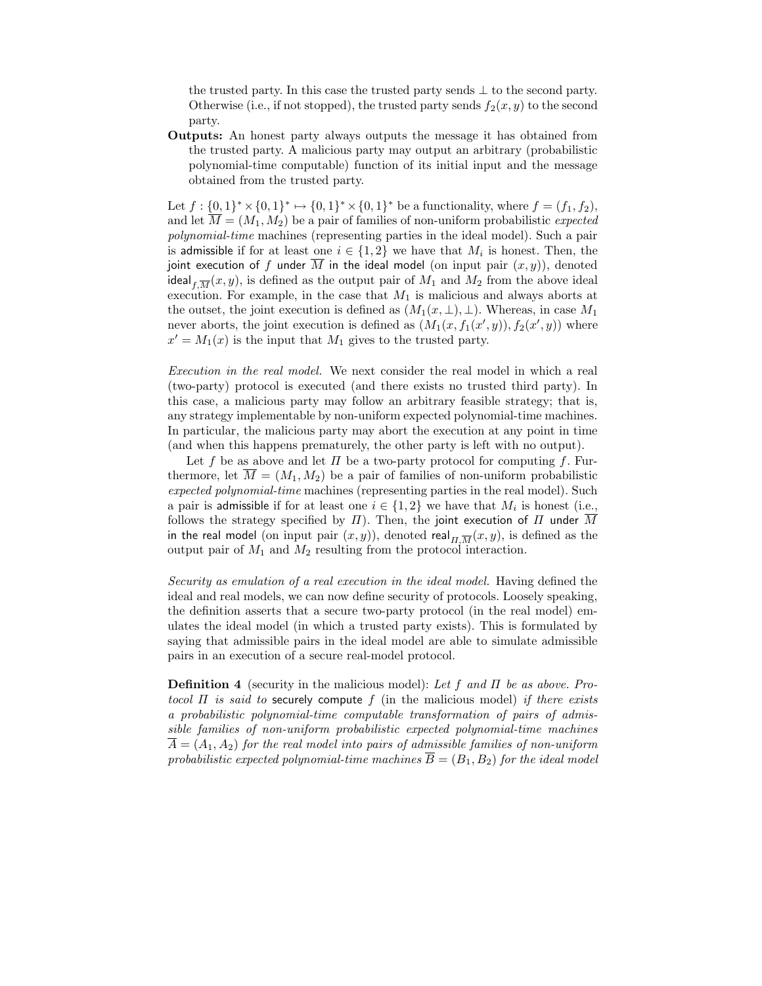the trusted party. In this case the trusted party sends  $\perp$  to the second party. Otherwise (i.e., if not stopped), the trusted party sends  $f_2(x, y)$  to the second party.

Outputs: An honest party always outputs the message it has obtained from the trusted party. A malicious party may output an arbitrary (probabilistic polynomial-time computable) function of its initial input and the message obtained from the trusted party.

Let  $f: \{0,1\}^* \times \{0,1\}^* \mapsto \{0,1\}^* \times \{0,1\}^*$  be a functionality, where  $f = (f_1, f_2)$ , and let  $\overline{M} = (M_1, M_2)$  be a pair of families of non-uniform probabilistic expected polynomial-time machines (representing parties in the ideal model). Such a pair is admissible if for at least one  $i \in \{1,2\}$  we have that  $M_i$  is honest. Then, the joint execution of f under M in the ideal model (on input pair  $(x, y)$ ), denoted ideal<sub>f</sub> $\overline{M}(x, y)$ , is defined as the output pair of  $M_1$  and  $M_2$  from the above ideal execution. For example, in the case that  $M_1$  is malicious and always aborts at the outset, the joint execution is defined as  $(M_1(x, \perp), \perp)$ . Whereas, in case  $M_1$ never aborts, the joint execution is defined as  $(M_1(x, f_1(x', y)), f_2(x', y))$  where  $x' = M_1(x)$  is the input that  $M_1$  gives to the trusted party.

Execution in the real model. We next consider the real model in which a real (two-party) protocol is executed (and there exists no trusted third party). In this case, a malicious party may follow an arbitrary feasible strategy; that is, any strategy implementable by non-uniform expected polynomial-time machines. In particular, the malicious party may abort the execution at any point in time (and when this happens prematurely, the other party is left with no output).

Let f be as above and let  $\Pi$  be a two-party protocol for computing f. Furthermore, let  $\overline{M} = (M_1, M_2)$  be a pair of families of non-uniform probabilistic expected polynomial-time machines (representing parties in the real model). Such a pair is admissible if for at least one  $i \in \{1,2\}$  we have that  $M_i$  is honest (i.e., follows the strategy specified by  $\Pi$ ). Then, the joint execution of  $\Pi$  under  $M$ in the real model (on input pair  $(x, y)$ ), denoted real<sub> $\overline{M}(x, y)$ </sub> is defined as the output pair of  $M_1$  and  $M_2$  resulting from the protocol interaction.

Security as emulation of a real execution in the ideal model. Having defined the ideal and real models, we can now define security of protocols. Loosely speaking, the definition asserts that a secure two-party protocol (in the real model) emulates the ideal model (in which a trusted party exists). This is formulated by saying that admissible pairs in the ideal model are able to simulate admissible pairs in an execution of a secure real-model protocol.

**Definition 4** (security in the malicious model): Let f and  $\Pi$  be as above. Protocol  $\Pi$  is said to securely compute f (in the malicious model) if there exists a probabilistic polynomial-time computable transformation of pairs of admissible families of non-uniform probabilistic expected polynomial-time machines  $\overline{A} = (A_1, A_2)$  for the real model into pairs of admissible families of non-uniform probabilistic expected polynomial-time machines  $\overline{B} = (B_1, B_2)$  for the ideal model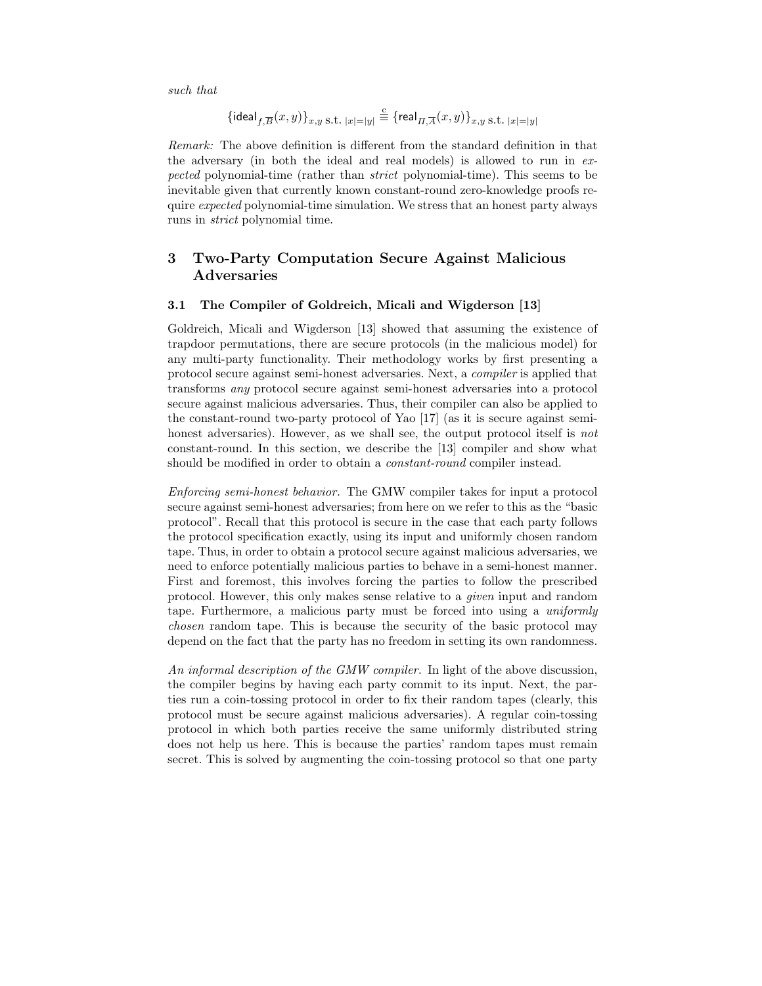such that

$$
\{\mathsf{ideal}_{f,\overline{B}}(x,y)\}_{x,y\text{ s.t. } |x|=|y|} \stackrel{\text{c}}{=} \{\mathsf{real}_{\varPi,\overline{A}}(x,y)\}_{x,y\text{ s.t. } |x|=|y|}
$$

Remark: The above definition is different from the standard definition in that the adversary (in both the ideal and real models) is allowed to run in  $ex$ pected polynomial-time (rather than strict polynomial-time). This seems to be inevitable given that currently known constant-round zero-knowledge proofs require expected polynomial-time simulation. We stress that an honest party always runs in strict polynomial time.

# 3 Two-Party Computation Secure Against Malicious Adversaries

### 3.1 The Compiler of Goldreich, Micali and Wigderson [13]

Goldreich, Micali and Wigderson [13] showed that assuming the existence of trapdoor permutations, there are secure protocols (in the malicious model) for any multi-party functionality. Their methodology works by first presenting a protocol secure against semi-honest adversaries. Next, a compiler is applied that transforms any protocol secure against semi-honest adversaries into a protocol secure against malicious adversaries. Thus, their compiler can also be applied to the constant-round two-party protocol of Yao [17] (as it is secure against semihonest adversaries). However, as we shall see, the output protocol itself is not constant-round. In this section, we describe the [13] compiler and show what should be modified in order to obtain a *constant-round* compiler instead.

Enforcing semi-honest behavior. The GMW compiler takes for input a protocol secure against semi-honest adversaries; from here on we refer to this as the "basic protocol". Recall that this protocol is secure in the case that each party follows the protocol specification exactly, using its input and uniformly chosen random tape. Thus, in order to obtain a protocol secure against malicious adversaries, we need to enforce potentially malicious parties to behave in a semi-honest manner. First and foremost, this involves forcing the parties to follow the prescribed protocol. However, this only makes sense relative to a given input and random tape. Furthermore, a malicious party must be forced into using a uniformly chosen random tape. This is because the security of the basic protocol may depend on the fact that the party has no freedom in setting its own randomness.

An informal description of the GMW compiler. In light of the above discussion, the compiler begins by having each party commit to its input. Next, the parties run a coin-tossing protocol in order to fix their random tapes (clearly, this protocol must be secure against malicious adversaries). A regular coin-tossing protocol in which both parties receive the same uniformly distributed string does not help us here. This is because the parties' random tapes must remain secret. This is solved by augmenting the coin-tossing protocol so that one party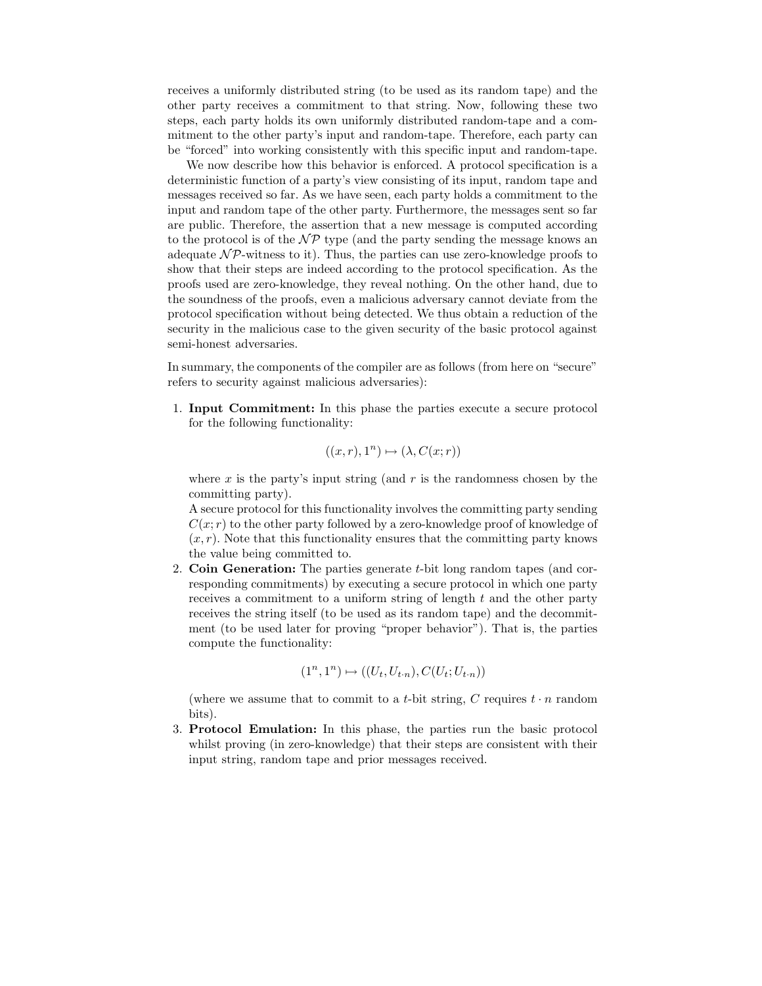receives a uniformly distributed string (to be used as its random tape) and the other party receives a commitment to that string. Now, following these two steps, each party holds its own uniformly distributed random-tape and a commitment to the other party's input and random-tape. Therefore, each party can be "forced" into working consistently with this specific input and random-tape.

We now describe how this behavior is enforced. A protocol specification is a deterministic function of a party's view consisting of its input, random tape and messages received so far. As we have seen, each party holds a commitment to the input and random tape of the other party. Furthermore, the messages sent so far are public. Therefore, the assertion that a new message is computed according to the protocol is of the  $\mathcal{NP}$  type (and the party sending the message knows an adequate  $N\mathcal{P}$ -witness to it). Thus, the parties can use zero-knowledge proofs to show that their steps are indeed according to the protocol specification. As the proofs used are zero-knowledge, they reveal nothing. On the other hand, due to the soundness of the proofs, even a malicious adversary cannot deviate from the protocol specification without being detected. We thus obtain a reduction of the security in the malicious case to the given security of the basic protocol against semi-honest adversaries.

In summary, the components of the compiler are as follows (from here on "secure" refers to security against malicious adversaries):

1. Input Commitment: In this phase the parties execute a secure protocol for the following functionality:

$$
((x,r),1^n) \mapsto (\lambda, C(x;r))
$$

where  $x$  is the party's input string (and  $r$  is the randomness chosen by the committing party).

A secure protocol for this functionality involves the committing party sending  $C(x; r)$  to the other party followed by a zero-knowledge proof of knowledge of  $(x, r)$ . Note that this functionality ensures that the committing party knows the value being committed to.

2. Coin Generation: The parties generate t-bit long random tapes (and corresponding commitments) by executing a secure protocol in which one party receives a commitment to a uniform string of length  $t$  and the other party receives the string itself (to be used as its random tape) and the decommitment (to be used later for proving "proper behavior"). That is, the parties compute the functionality:

$$
(1^n, 1^n) \mapsto ((U_t, U_{t \cdot n}), C(U_t; U_{t \cdot n}))
$$

(where we assume that to commit to a t-bit string, C requires  $t \cdot n$  random bits).

3. Protocol Emulation: In this phase, the parties run the basic protocol whilst proving (in zero-knowledge) that their steps are consistent with their input string, random tape and prior messages received.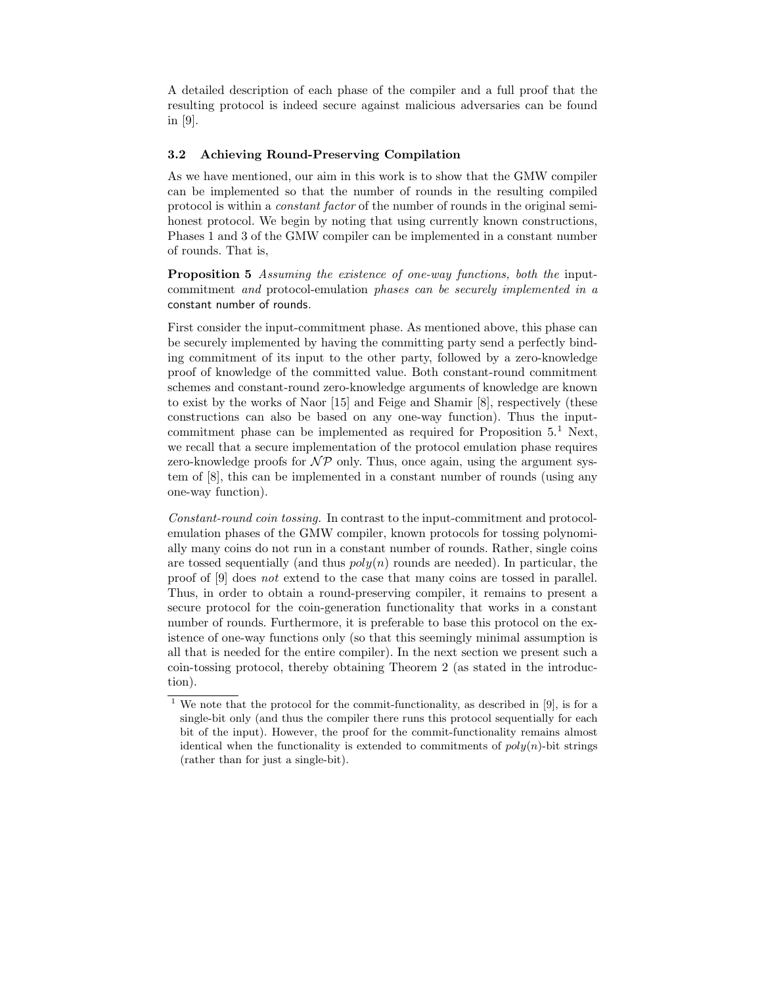A detailed description of each phase of the compiler and a full proof that the resulting protocol is indeed secure against malicious adversaries can be found in [9].

## 3.2 Achieving Round-Preserving Compilation

As we have mentioned, our aim in this work is to show that the GMW compiler can be implemented so that the number of rounds in the resulting compiled protocol is within a constant factor of the number of rounds in the original semihonest protocol. We begin by noting that using currently known constructions, Phases 1 and 3 of the GMW compiler can be implemented in a constant number of rounds. That is,

Proposition 5 Assuming the existence of one-way functions, both the inputcommitment and protocol-emulation phases can be securely implemented in a constant number of rounds.

First consider the input-commitment phase. As mentioned above, this phase can be securely implemented by having the committing party send a perfectly binding commitment of its input to the other party, followed by a zero-knowledge proof of knowledge of the committed value. Both constant-round commitment schemes and constant-round zero-knowledge arguments of knowledge are known to exist by the works of Naor [15] and Feige and Shamir [8], respectively (these constructions can also be based on any one-way function). Thus the inputcommitment phase can be implemented as required for Proposition 5.<sup>1</sup> Next, we recall that a secure implementation of the protocol emulation phase requires zero-knowledge proofs for  $\mathcal{NP}$  only. Thus, once again, using the argument system of [8], this can be implemented in a constant number of rounds (using any one-way function).

Constant-round coin tossing. In contrast to the input-commitment and protocolemulation phases of the GMW compiler, known protocols for tossing polynomially many coins do not run in a constant number of rounds. Rather, single coins are tossed sequentially (and thus  $poly(n)$  rounds are needed). In particular, the proof of [9] does not extend to the case that many coins are tossed in parallel. Thus, in order to obtain a round-preserving compiler, it remains to present a secure protocol for the coin-generation functionality that works in a constant number of rounds. Furthermore, it is preferable to base this protocol on the existence of one-way functions only (so that this seemingly minimal assumption is all that is needed for the entire compiler). In the next section we present such a coin-tossing protocol, thereby obtaining Theorem 2 (as stated in the introduction).

<sup>&</sup>lt;sup>1</sup> We note that the protocol for the commit-functionality, as described in [9], is for a single-bit only (and thus the compiler there runs this protocol sequentially for each bit of the input). However, the proof for the commit-functionality remains almost identical when the functionality is extended to commitments of  $poly(n)$ -bit strings (rather than for just a single-bit).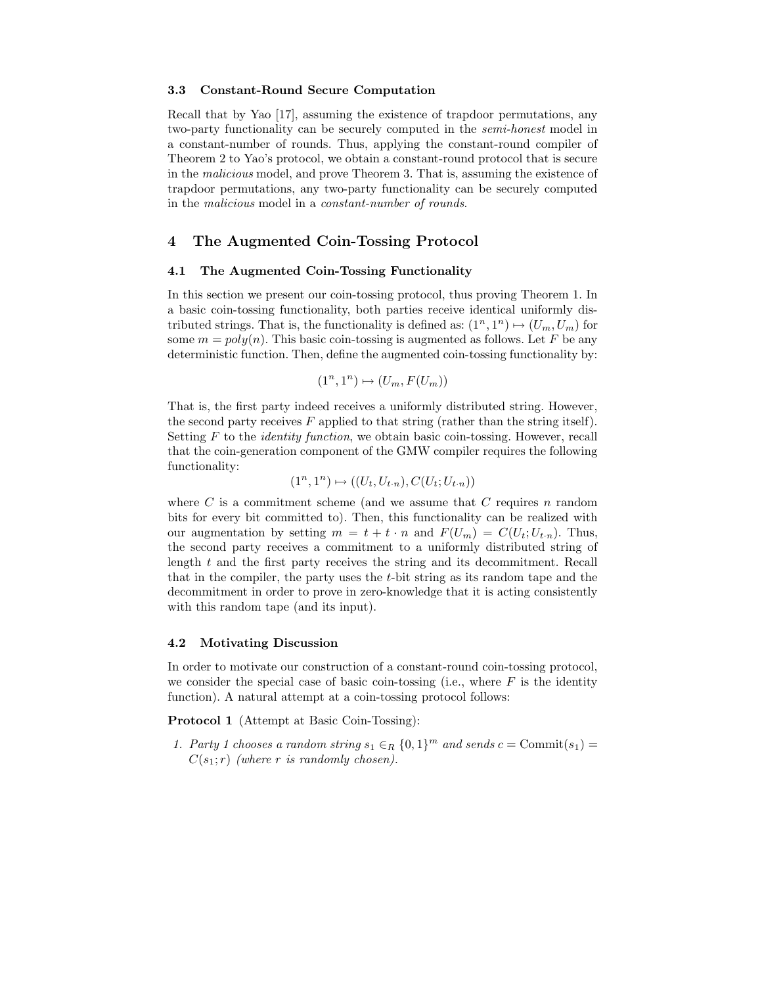#### 3.3 Constant-Round Secure Computation

Recall that by Yao [17], assuming the existence of trapdoor permutations, any two-party functionality can be securely computed in the semi-honest model in a constant-number of rounds. Thus, applying the constant-round compiler of Theorem 2 to Yao's protocol, we obtain a constant-round protocol that is secure in the malicious model, and prove Theorem 3. That is, assuming the existence of trapdoor permutations, any two-party functionality can be securely computed in the malicious model in a constant-number of rounds.

# 4 The Augmented Coin-Tossing Protocol

#### 4.1 The Augmented Coin-Tossing Functionality

In this section we present our coin-tossing protocol, thus proving Theorem 1. In a basic coin-tossing functionality, both parties receive identical uniformly distributed strings. That is, the functionality is defined as:  $(1^n, 1^n) \mapsto (U_m, U_m)$  for some  $m = poly(n)$ . This basic coin-tossing is augmented as follows. Let F be any deterministic function. Then, define the augmented coin-tossing functionality by:

$$
(1^n, 1^n) \mapsto (U_m, F(U_m))
$$

That is, the first party indeed receives a uniformly distributed string. However, the second party receives  $F$  applied to that string (rather than the string itself). Setting  $F$  to the *identity function*, we obtain basic coin-tossing. However, recall that the coin-generation component of the GMW compiler requires the following functionality:

 $(1^n, 1^n) \mapsto ((U_t, U_{t \cdot n}), C(U_t; U_{t \cdot n}))$ 

where  $C$  is a commitment scheme (and we assume that  $C$  requires n random bits for every bit committed to). Then, this functionality can be realized with our augmentation by setting  $m = t + t \cdot n$  and  $F(U_m) = C(U_t; U_{t\cdot n})$ . Thus, the second party receives a commitment to a uniformly distributed string of length t and the first party receives the string and its decommitment. Recall that in the compiler, the party uses the  $t$ -bit string as its random tape and the decommitment in order to prove in zero-knowledge that it is acting consistently with this random tape (and its input).

#### 4.2 Motivating Discussion

In order to motivate our construction of a constant-round coin-tossing protocol, we consider the special case of basic coin-tossing (i.e., where  $F$  is the identity function). A natural attempt at a coin-tossing protocol follows:

Protocol 1 (Attempt at Basic Coin-Tossing):

1. Party 1 chooses a random string  $s_1 \in_R \{0,1\}^m$  and sends  $c = \text{Commit}(s_1) =$  $C(s_1; r)$  (where r is randomly chosen).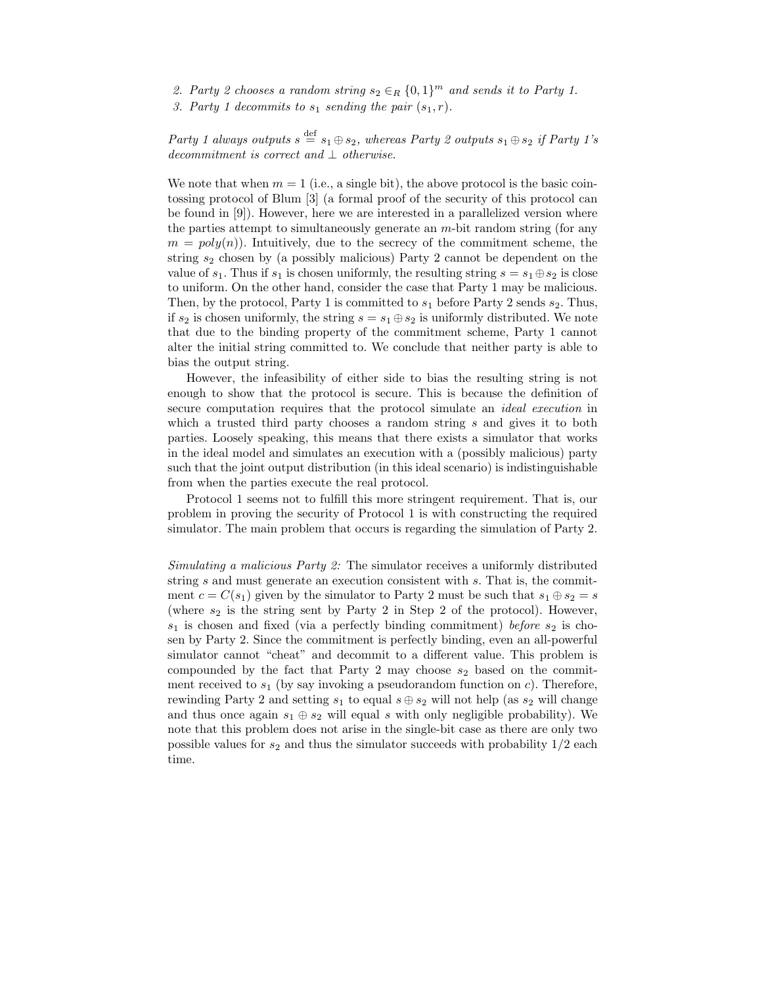- 2. Party 2 chooses a random string  $s_2 \in_R \{0,1\}^m$  and sends it to Party 1.
- 3. Party 1 decommits to  $s_1$  sending the pair  $(s_1, r)$ .

Party 1 always outputs  $s \stackrel{\text{def}}{=} s_1 \oplus s_2$ , whereas Party 2 outputs  $s_1 \oplus s_2$  if Party 1's decommitment is correct and  $\perp$  otherwise.

We note that when  $m = 1$  (i.e., a single bit), the above protocol is the basic cointossing protocol of Blum [3] (a formal proof of the security of this protocol can be found in [9]). However, here we are interested in a parallelized version where the parties attempt to simultaneously generate an  $m$ -bit random string (for any  $m = poly(n)$ . Intuitively, due to the secrecy of the commitment scheme, the string  $s_2$  chosen by (a possibly malicious) Party 2 cannot be dependent on the value of  $s_1$ . Thus if  $s_1$  is chosen uniformly, the resulting string  $s = s_1 \oplus s_2$  is close to uniform. On the other hand, consider the case that Party 1 may be malicious. Then, by the protocol, Party 1 is committed to  $s_1$  before Party 2 sends  $s_2$ . Thus, if  $s_2$  is chosen uniformly, the string  $s = s_1 \oplus s_2$  is uniformly distributed. We note that due to the binding property of the commitment scheme, Party 1 cannot alter the initial string committed to. We conclude that neither party is able to bias the output string.

However, the infeasibility of either side to bias the resulting string is not enough to show that the protocol is secure. This is because the definition of secure computation requires that the protocol simulate an *ideal execution* in which a trusted third party chooses a random string s and gives it to both parties. Loosely speaking, this means that there exists a simulator that works in the ideal model and simulates an execution with a (possibly malicious) party such that the joint output distribution (in this ideal scenario) is indistinguishable from when the parties execute the real protocol.

Protocol 1 seems not to fulfill this more stringent requirement. That is, our problem in proving the security of Protocol 1 is with constructing the required simulator. The main problem that occurs is regarding the simulation of Party 2.

Simulating a malicious Party 2: The simulator receives a uniformly distributed string s and must generate an execution consistent with s. That is, the commitment  $c = C(s_1)$  given by the simulator to Party 2 must be such that  $s_1 \oplus s_2 = s$ (where  $s_2$  is the string sent by Party 2 in Step 2 of the protocol). However,  $s_1$  is chosen and fixed (via a perfectly binding commitment) before  $s_2$  is chosen by Party 2. Since the commitment is perfectly binding, even an all-powerful simulator cannot "cheat" and decommit to a different value. This problem is compounded by the fact that Party 2 may choose  $s_2$  based on the commitment received to  $s_1$  (by say invoking a pseudorandom function on c). Therefore, rewinding Party 2 and setting  $s_1$  to equal  $s \oplus s_2$  will not help (as  $s_2$  will change and thus once again  $s_1 \oplus s_2$  will equal s with only negligible probability). We note that this problem does not arise in the single-bit case as there are only two possible values for  $s_2$  and thus the simulator succeeds with probability  $1/2$  each time.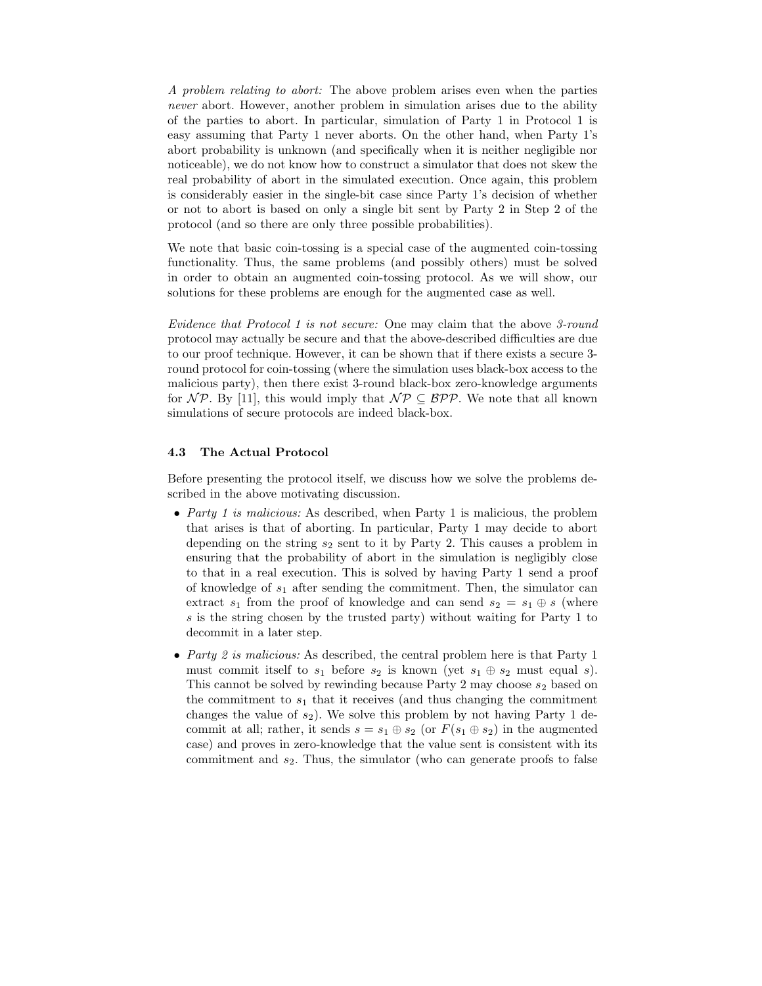A problem relating to abort: The above problem arises even when the parties never abort. However, another problem in simulation arises due to the ability of the parties to abort. In particular, simulation of Party 1 in Protocol 1 is easy assuming that Party 1 never aborts. On the other hand, when Party 1's abort probability is unknown (and specifically when it is neither negligible nor noticeable), we do not know how to construct a simulator that does not skew the real probability of abort in the simulated execution. Once again, this problem is considerably easier in the single-bit case since Party 1's decision of whether or not to abort is based on only a single bit sent by Party 2 in Step 2 of the protocol (and so there are only three possible probabilities).

We note that basic coin-tossing is a special case of the augmented coin-tossing functionality. Thus, the same problems (and possibly others) must be solved in order to obtain an augmented coin-tossing protocol. As we will show, our solutions for these problems are enough for the augmented case as well.

Evidence that Protocol 1 is not secure: One may claim that the above 3-round protocol may actually be secure and that the above-described difficulties are due to our proof technique. However, it can be shown that if there exists a secure 3 round protocol for coin-tossing (where the simulation uses black-box access to the malicious party), then there exist 3-round black-box zero-knowledge arguments for NP. By [11], this would imply that  $\mathcal{NP} \subseteq \mathcal{BPP}$ . We note that all known simulations of secure protocols are indeed black-box.

### 4.3 The Actual Protocol

Before presenting the protocol itself, we discuss how we solve the problems described in the above motivating discussion.

- Party 1 is malicious: As described, when Party 1 is malicious, the problem that arises is that of aborting. In particular, Party 1 may decide to abort depending on the string  $s_2$  sent to it by Party 2. This causes a problem in ensuring that the probability of abort in the simulation is negligibly close to that in a real execution. This is solved by having Party 1 send a proof of knowledge of  $s_1$  after sending the commitment. Then, the simulator can extract  $s_1$  from the proof of knowledge and can send  $s_2 = s_1 \oplus s$  (where s is the string chosen by the trusted party) without waiting for Party 1 to decommit in a later step.
- Party 2 is malicious: As described, the central problem here is that Party 1 must commit itself to  $s_1$  before  $s_2$  is known (yet  $s_1 \oplus s_2$  must equal s). This cannot be solved by rewinding because Party 2 may choose  $s_2$  based on the commitment to  $s_1$  that it receives (and thus changing the commitment changes the value of  $s_2$ ). We solve this problem by not having Party 1 decommit at all; rather, it sends  $s = s_1 \oplus s_2$  (or  $F(s_1 \oplus s_2)$  in the augmented case) and proves in zero-knowledge that the value sent is consistent with its commitment and  $s_2$ . Thus, the simulator (who can generate proofs to false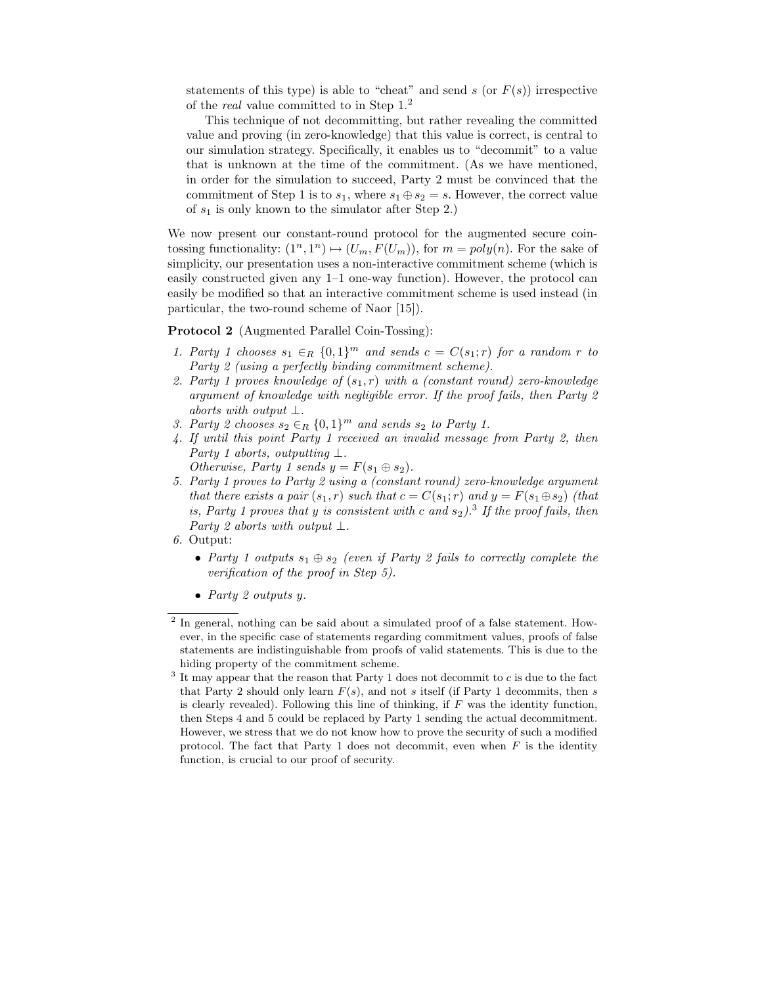statements of this type) is able to "cheat" and send s (or  $F(s)$ ) irrespective of the real value committed to in Step 1.<sup>2</sup>

This technique of not decommitting, but rather revealing the committed value and proving (in zero-knowledge) that this value is correct, is central to our simulation strategy. Specifically, it enables us to "decommit" to a value that is unknown at the time of the commitment. (As we have mentioned, in order for the simulation to succeed, Party 2 must be convinced that the commitment of Step 1 is to  $s_1$ , where  $s_1 \oplus s_2 = s$ . However, the correct value of  $s_1$  is only known to the simulator after Step 2.)

We now present our constant-round protocol for the augmented secure cointossing functionality:  $(1^n, 1^n) \mapsto (U_m, F(U_m))$ , for  $m = poly(n)$ . For the sake of simplicity, our presentation uses a non-interactive commitment scheme (which is easily constructed given any 1–1 one-way function). However, the protocol can easily be modified so that an interactive commitment scheme is used instead (in particular, the two-round scheme of Naor [15]).

Protocol 2 (Augmented Parallel Coin-Tossing):

- 1. Party 1 chooses  $s_1 \in_R \{0,1\}^m$  and sends  $c = C(s_1; r)$  for a random r to Party 2 (using a perfectly binding commitment scheme).
- 2. Party 1 proves knowledge of  $(s_1, r)$  with a (constant round) zero-knowledge argument of knowledge with negligible error. If the proof fails, then Party 2 aborts with output  $\bot$ .
- 3. Party 2 chooses  $s_2 \in_R \{0,1\}^m$  and sends  $s_2$  to Party 1.
- 4. If until this point Party 1 received an invalid message from Party 2, then Party 1 aborts, outputting  $\perp$ .

Otherwise, Party 1 sends  $y = F(s_1 \oplus s_2)$ .

- 5. Party 1 proves to Party 2 using a (constant round) zero-knowledge argument that there exists a pair  $(s_1, r)$  such that  $c = C(s_1; r)$  and  $y = F(s_1 \oplus s_2)$  (that is, Party 1 proves that y is consistent with c and  $s_2$ ).<sup>3</sup> If the proof fails, then Party 2 aborts with output  $\bot$ .
- 6. Output:
	- Party 1 outputs  $s_1 \oplus s_2$  (even if Party 2 fails to correctly complete the verification of the proof in Step 5).
	- Party 2 outputs y.

<sup>&</sup>lt;sup>2</sup> In general, nothing can be said about a simulated proof of a false statement. However, in the specific case of statements regarding commitment values, proofs of false statements are indistinguishable from proofs of valid statements. This is due to the hiding property of the commitment scheme.

 $3$  It may appear that the reason that Party 1 does not decommit to  $c$  is due to the fact that Party 2 should only learn  $F(s)$ , and not s itself (if Party 1 decommits, then s is clearly revealed). Following this line of thinking, if  $F$  was the identity function, then Steps 4 and 5 could be replaced by Party 1 sending the actual decommitment. However, we stress that we do not know how to prove the security of such a modified protocol. The fact that Party 1 does not decommit, even when  $F$  is the identity function, is crucial to our proof of security.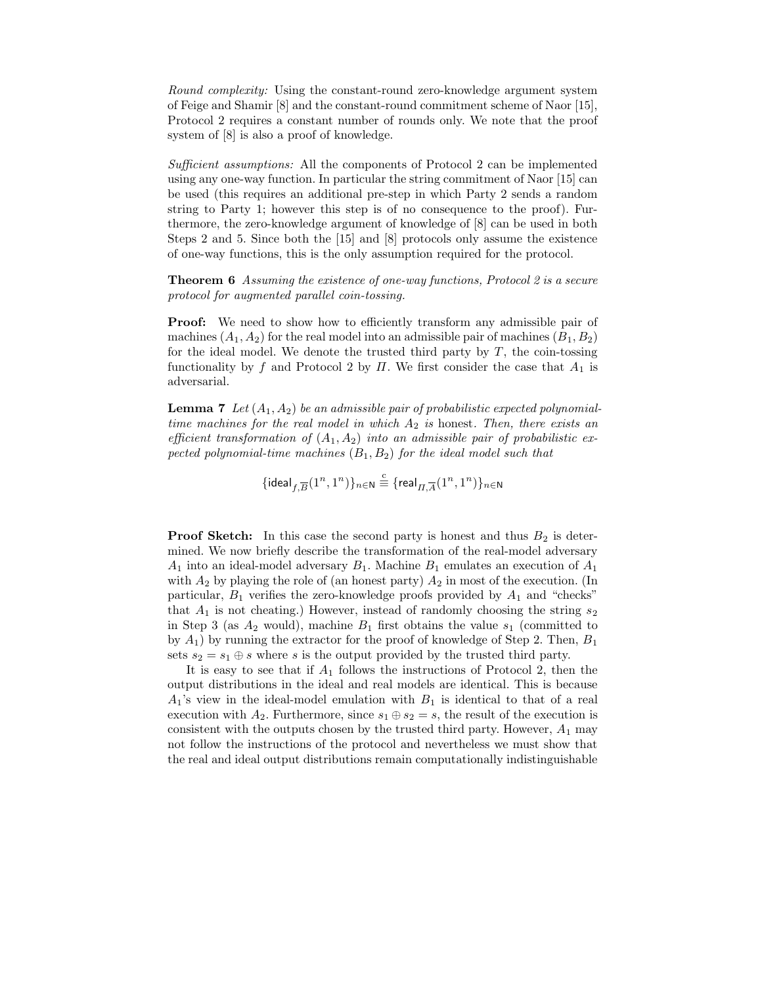Round complexity: Using the constant-round zero-knowledge argument system of Feige and Shamir [8] and the constant-round commitment scheme of Naor [15], Protocol 2 requires a constant number of rounds only. We note that the proof system of [8] is also a proof of knowledge.

Sufficient assumptions: All the components of Protocol 2 can be implemented using any one-way function. In particular the string commitment of Naor [15] can be used (this requires an additional pre-step in which Party 2 sends a random string to Party 1; however this step is of no consequence to the proof). Furthermore, the zero-knowledge argument of knowledge of [8] can be used in both Steps 2 and 5. Since both the [15] and [8] protocols only assume the existence of one-way functions, this is the only assumption required for the protocol.

Theorem 6 Assuming the existence of one-way functions, Protocol 2 is a secure protocol for augmented parallel coin-tossing.

**Proof:** We need to show how to efficiently transform any admissible pair of machines  $(A_1, A_2)$  for the real model into an admissible pair of machines  $(B_1, B_2)$ for the ideal model. We denote the trusted third party by  $T$ , the coin-tossing functionality by f and Protocol 2 by  $\Pi$ . We first consider the case that  $A_1$  is adversarial.

**Lemma 7** Let  $(A_1, A_2)$  be an admissible pair of probabilistic expected polynomialtime machines for the real model in which  $A_2$  is honest. Then, there exists an efficient transformation of  $(A_1, A_2)$  into an admissible pair of probabilistic expected polynomial-time machines  $(B_1, B_2)$  for the ideal model such that

 $\{{\sf ideal}_{f,\overline{B}}(1^n,1^n)\}_{n\in{\mathsf N}}\stackrel{\rm c}{\equiv}\{{\sf real}_{\Pi,\overline{A}}(1^n,1^n)\}_{n\in{\mathsf N}}$ 

**Proof Sketch:** In this case the second party is honest and thus  $B_2$  is determined. We now briefly describe the transformation of the real-model adversary  $A_1$  into an ideal-model adversary  $B_1$ . Machine  $B_1$  emulates an execution of  $A_1$ with  $A_2$  by playing the role of (an honest party)  $A_2$  in most of the execution. (In particular,  $B_1$  verifies the zero-knowledge proofs provided by  $A_1$  and "checks" that  $A_1$  is not cheating.) However, instead of randomly choosing the string  $s_2$ in Step 3 (as  $A_2$  would), machine  $B_1$  first obtains the value  $s_1$  (committed to by  $A_1$ ) by running the extractor for the proof of knowledge of Step 2. Then,  $B_1$ sets  $s_2 = s_1 \oplus s$  where s is the output provided by the trusted third party.

It is easy to see that if  $A_1$  follows the instructions of Protocol 2, then the output distributions in the ideal and real models are identical. This is because  $A_1$ 's view in the ideal-model emulation with  $B_1$  is identical to that of a real execution with  $A_2$ . Furthermore, since  $s_1 \oplus s_2 = s$ , the result of the execution is consistent with the outputs chosen by the trusted third party. However,  $A_1$  may not follow the instructions of the protocol and nevertheless we must show that the real and ideal output distributions remain computationally indistinguishable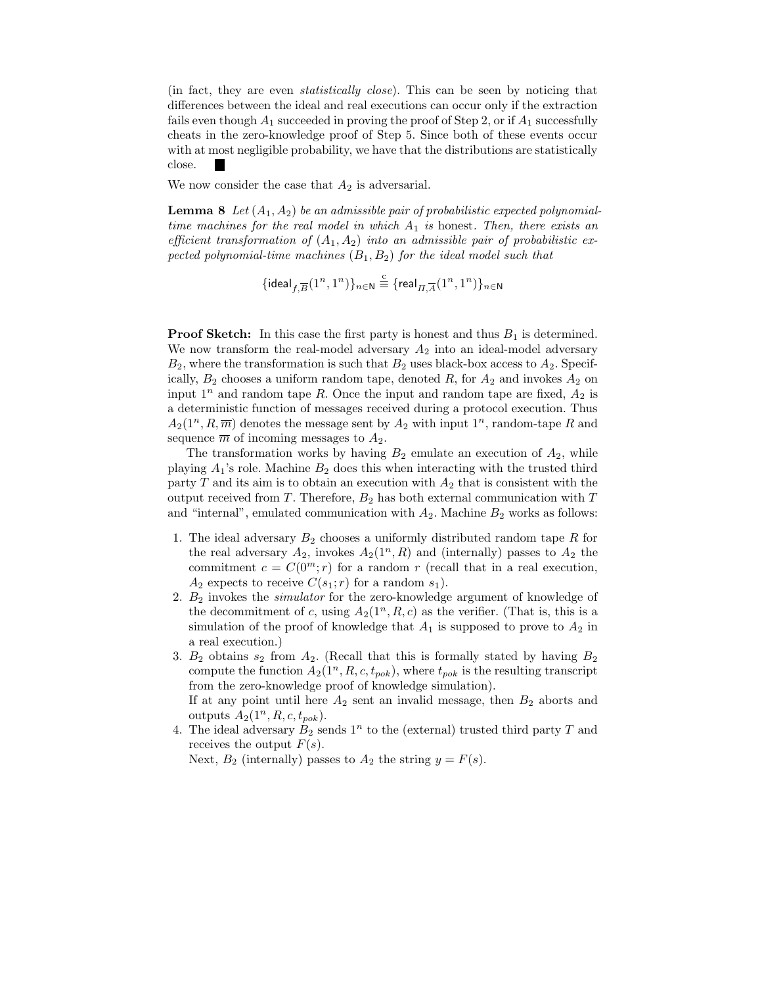(in fact, they are even statistically close). This can be seen by noticing that differences between the ideal and real executions can occur only if the extraction fails even though  $A_1$  succeeded in proving the proof of Step 2, or if  $A_1$  successfully cheats in the zero-knowledge proof of Step 5. Since both of these events occur with at most negligible probability, we have that the distributions are statistically close.

We now consider the case that  $A_2$  is adversarial.

**Lemma 8** Let  $(A_1, A_2)$  be an admissible pair of probabilistic expected polynomialtime machines for the real model in which  $A_1$  is honest. Then, there exists an efficient transformation of  $(A_1, A_2)$  into an admissible pair of probabilistic expected polynomial-time machines  $(B_1, B_2)$  for the ideal model such that

$$
\{{\rm ideal}_{f,\overline{B}}(1^n,1^n)\}_{n\in{\mathsf N}}\stackrel{\rm c}{\equiv}\{{\rm real}_{\Pi,\overline{A}}(1^n,1^n)\}_{n\in{\mathsf N}}
$$

**Proof Sketch:** In this case the first party is honest and thus  $B_1$  is determined. We now transform the real-model adversary  $A_2$  into an ideal-model adversary  $B_2$ , where the transformation is such that  $B_2$  uses black-box access to  $A_2$ . Specifically,  $B_2$  chooses a uniform random tape, denoted R, for  $A_2$  and invokes  $A_2$  on input  $1^n$  and random tape R. Once the input and random tape are fixed,  $A_2$  is a deterministic function of messages received during a protocol execution. Thus  $A_2(1^n, R, \overline{m})$  denotes the message sent by  $A_2$  with input  $1^n$ , random-tape R and sequence  $\overline{m}$  of incoming messages to  $A_2$ .

The transformation works by having  $B_2$  emulate an execution of  $A_2$ , while playing  $A_1$ 's role. Machine  $B_2$  does this when interacting with the trusted third party  $T$  and its aim is to obtain an execution with  $A_2$  that is consistent with the output received from T. Therefore,  $B_2$  has both external communication with T and "internal", emulated communication with  $A_2$ . Machine  $B_2$  works as follows:

- 1. The ideal adversary  $B_2$  chooses a uniformly distributed random tape R for the real adversary  $A_2$ , invokes  $A_2(1^n, R)$  and (internally) passes to  $A_2$  the commitment  $c = C(0^m; r)$  for a random r (recall that in a real execution,  $A_2$  expects to receive  $C(s_1; r)$  for a random  $s_1$ ).
- 2.  $B_2$  invokes the *simulator* for the zero-knowledge argument of knowledge of the decommitment of c, using  $A_2(1^n, R, c)$  as the verifier. (That is, this is a simulation of the proof of knowledge that  $A_1$  is supposed to prove to  $A_2$  in a real execution.)
- 3.  $B_2$  obtains  $s_2$  from  $A_2$ . (Recall that this is formally stated by having  $B_2$ compute the function  $A_2(1^n, R, c, t_{pok})$ , where  $t_{pok}$  is the resulting transcript from the zero-knowledge proof of knowledge simulation). If at any point until here  $A_2$  sent an invalid message, then  $B_2$  aborts and outputs  $A_2(1^n, R, c, t_{pok})$ .
- 4. The ideal adversary  $\dot{B}_2$  sends  $1^n$  to the (external) trusted third party T and receives the output  $F(s)$ .

Next,  $B_2$  (internally) passes to  $A_2$  the string  $y = F(s)$ .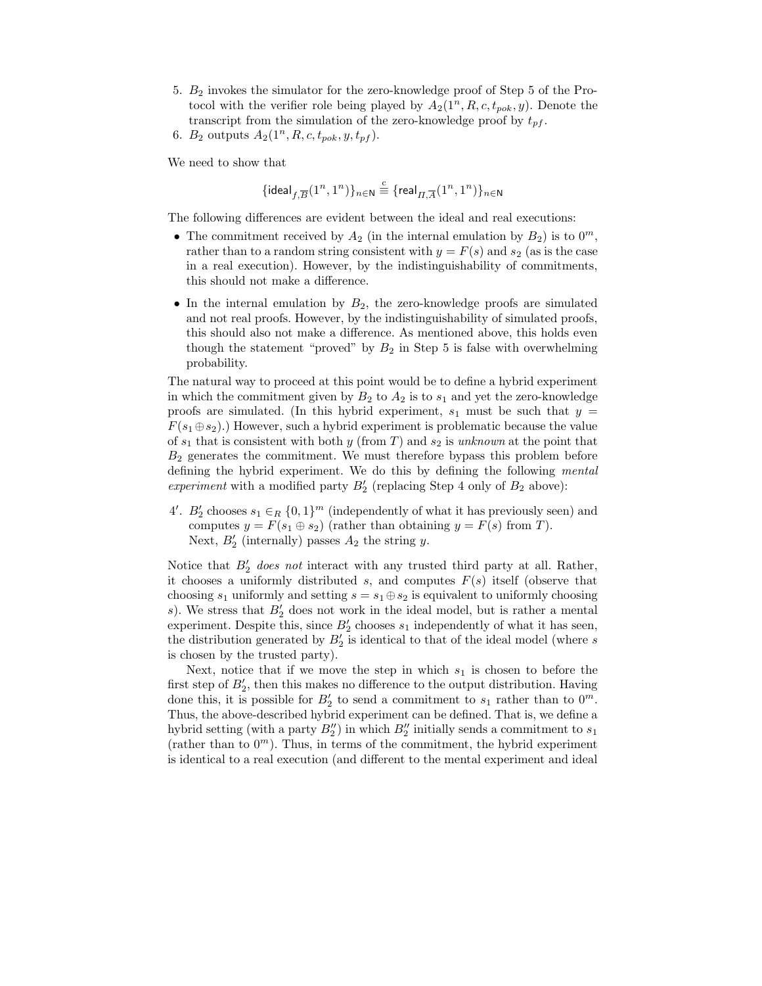- 5. B<sup>2</sup> invokes the simulator for the zero-knowledge proof of Step 5 of the Protocol with the verifier role being played by  $A_2(1^n, R, c, t_{pok}, y)$ . Denote the transcript from the simulation of the zero-knowledge proof by  $t_{pf}$ .
- 6.  $B_2$  outputs  $A_2(1^n, R, c, t_{pok}, y, t_{pf}).$

We need to show that

$$
\{{\rm ideal}_{f,\overline{B}}(1^n,1^n)\}_{n\in{\mathbf N}}\stackrel{\rm c}{\equiv}\{{\rm real}_{\Pi,\overline{A}}(1^n,1^n)\}_{n\in{\mathbf N}}
$$

The following differences are evident between the ideal and real executions:

- The commitment received by  $A_2$  (in the internal emulation by  $B_2$ ) is to  $0^m$ , rather than to a random string consistent with  $y = F(s)$  and  $s<sub>2</sub>$  (as is the case in a real execution). However, by the indistinguishability of commitments, this should not make a difference.
- In the internal emulation by  $B_2$ , the zero-knowledge proofs are simulated and not real proofs. However, by the indistinguishability of simulated proofs, this should also not make a difference. As mentioned above, this holds even though the statement "proved" by  $B_2$  in Step 5 is false with overwhelming probability.

The natural way to proceed at this point would be to define a hybrid experiment in which the commitment given by  $B_2$  to  $A_2$  is to  $s_1$  and yet the zero-knowledge proofs are simulated. (In this hybrid experiment,  $s_1$  must be such that  $y =$  $F(s_1 \oplus s_2)$ .) However, such a hybrid experiment is problematic because the value of  $s_1$  that is consistent with both y (from T) and  $s_2$  is unknown at the point that  $B_2$  generates the commitment. We must therefore bypass this problem before defining the hybrid experiment. We do this by defining the following mental experiment with a modified party  $B'_{2}$  (replacing Step 4 only of  $B_{2}$  above):

4'.  $B'_2$  chooses  $s_1 \in_R \{0,1\}^m$  (independently of what it has previously seen) and computes  $y = F(s_1 \oplus s_2)$  (rather than obtaining  $y = F(s)$  from T). Next,  $B'_2$  (internally) passes  $A_2$  the string y.

Notice that  $B_2'$  does not interact with any trusted third party at all. Rather, it chooses a uniformly distributed s, and computes  $F(s)$  itself (observe that choosing  $s_1$  uniformly and setting  $s = s_1 \oplus s_2$  is equivalent to uniformly choosing s). We stress that  $B_2'$  does not work in the ideal model, but is rather a mental experiment. Despite this, since  $B_2'$  chooses  $s_1$  independently of what it has seen, the distribution generated by  $B_2'$  is identical to that of the ideal model (where s is chosen by the trusted party).

Next, notice that if we move the step in which  $s_1$  is chosen to before the first step of  $B_2'$ , then this makes no difference to the output distribution. Having done this, it is possible for  $B_2'$  to send a commitment to  $s_1$  rather than to  $0^m$ . Thus, the above-described hybrid experiment can be defined. That is, we define a hybrid setting (with a party  $B_2''$ ) in which  $B_2''$  initially sends a commitment to  $s_1$ (rather than to  $0<sup>m</sup>$ ). Thus, in terms of the commitment, the hybrid experiment is identical to a real execution (and different to the mental experiment and ideal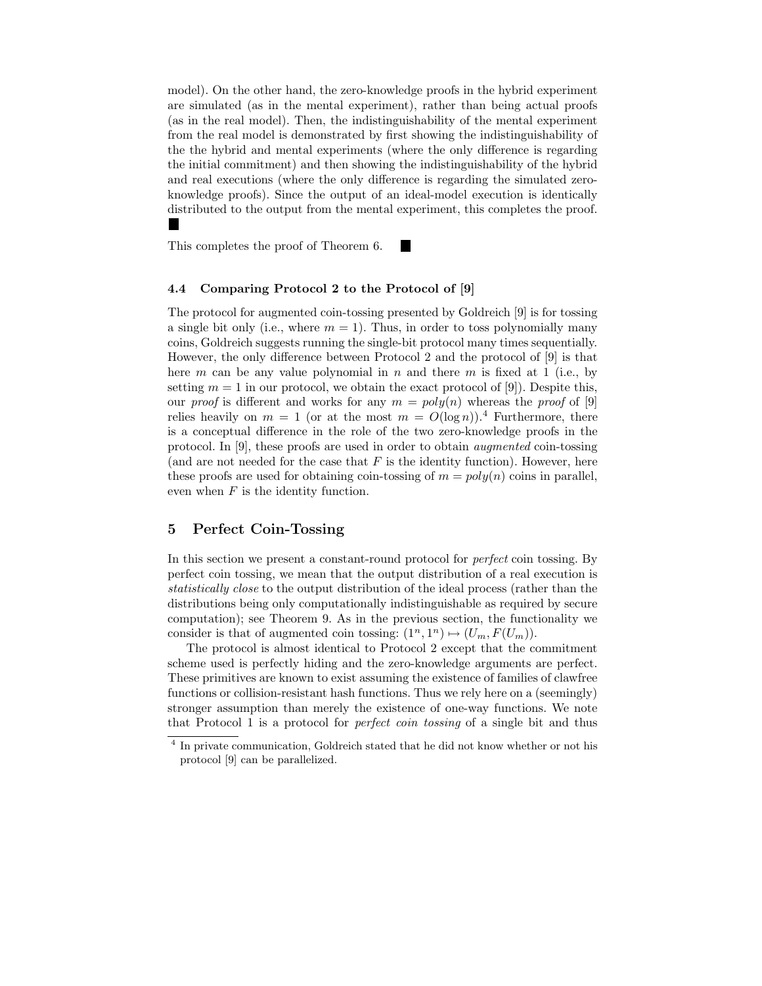model). On the other hand, the zero-knowledge proofs in the hybrid experiment are simulated (as in the mental experiment), rather than being actual proofs (as in the real model). Then, the indistinguishability of the mental experiment from the real model is demonstrated by first showing the indistinguishability of the the hybrid and mental experiments (where the only difference is regarding the initial commitment) and then showing the indistinguishability of the hybrid and real executions (where the only difference is regarding the simulated zeroknowledge proofs). Since the output of an ideal-model execution is identically distributed to the output from the mental experiment, this completes the proof.

This completes the proof of Theorem 6.

### 4.4 Comparing Protocol 2 to the Protocol of [9]

The protocol for augmented coin-tossing presented by Goldreich [9] is for tossing a single bit only (i.e., where  $m = 1$ ). Thus, in order to toss polynomially many coins, Goldreich suggests running the single-bit protocol many times sequentially. However, the only difference between Protocol 2 and the protocol of [9] is that here m can be any value polynomial in n and there m is fixed at 1 (i.e., by setting  $m = 1$  in our protocol, we obtain the exact protocol of [9]). Despite this, our *proof* is different and works for any  $m = poly(n)$  whereas the *proof* of [9] relies heavily on  $m = 1$  (or at the most  $m = O(\log n)$ ).<sup>4</sup> Furthermore, there is a conceptual difference in the role of the two zero-knowledge proofs in the protocol. In [9], these proofs are used in order to obtain augmented coin-tossing (and are not needed for the case that  $F$  is the identity function). However, here these proofs are used for obtaining coin-tossing of  $m = poly(n)$  coins in parallel, even when  $F$  is the identity function.

# 5 Perfect Coin-Tossing

In this section we present a constant-round protocol for perfect coin tossing. By perfect coin tossing, we mean that the output distribution of a real execution is statistically close to the output distribution of the ideal process (rather than the distributions being only computationally indistinguishable as required by secure computation); see Theorem 9. As in the previous section, the functionality we consider is that of augmented coin tossing:  $(1^n, 1^n) \mapsto (U_m, F(U_m))$ .

The protocol is almost identical to Protocol 2 except that the commitment scheme used is perfectly hiding and the zero-knowledge arguments are perfect. These primitives are known to exist assuming the existence of families of clawfree functions or collision-resistant hash functions. Thus we rely here on a (seemingly) stronger assumption than merely the existence of one-way functions. We note that Protocol 1 is a protocol for perfect coin tossing of a single bit and thus

<sup>&</sup>lt;sup>4</sup> In private communication, Goldreich stated that he did not know whether or not his protocol [9] can be parallelized.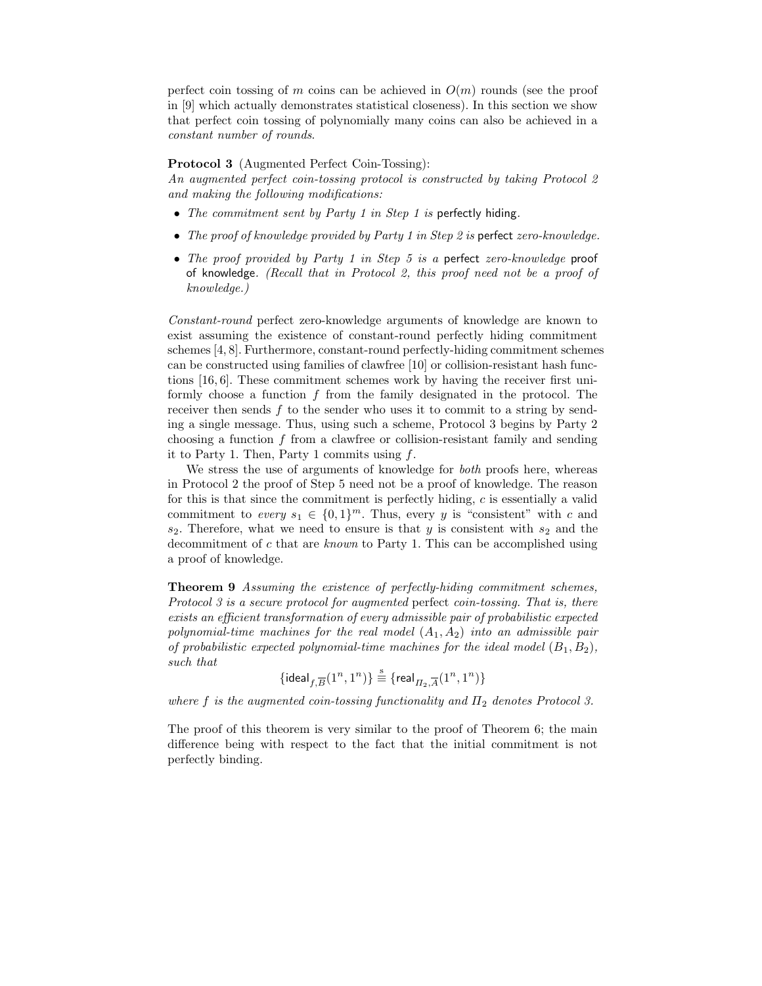perfect coin tossing of m coins can be achieved in  $O(m)$  rounds (see the proof in [9] which actually demonstrates statistical closeness). In this section we show that perfect coin tossing of polynomially many coins can also be achieved in a constant number of rounds.

### Protocol 3 (Augmented Perfect Coin-Tossing):

An augmented perfect coin-tossing protocol is constructed by taking Protocol 2 and making the following modifications:

- The commitment sent by Party 1 in Step 1 is perfectly hiding.
- The proof of knowledge provided by Party 1 in Step 2 is perfect zero-knowledge.
- The proof provided by Party 1 in Step 5 is a perfect zero-knowledge proof of knowledge. (Recall that in Protocol 2, this proof need not be a proof of knowledge.)

Constant-round perfect zero-knowledge arguments of knowledge are known to exist assuming the existence of constant-round perfectly hiding commitment schemes [4, 8]. Furthermore, constant-round perfectly-hiding commitment schemes can be constructed using families of clawfree [10] or collision-resistant hash functions [16, 6]. These commitment schemes work by having the receiver first uniformly choose a function  $f$  from the family designated in the protocol. The receiver then sends  $f$  to the sender who uses it to commit to a string by sending a single message. Thus, using such a scheme, Protocol 3 begins by Party 2 choosing a function  $f$  from a clawfree or collision-resistant family and sending it to Party 1. Then, Party 1 commits using f.

We stress the use of arguments of knowledge for *both* proofs here, whereas in Protocol 2 the proof of Step 5 need not be a proof of knowledge. The reason for this is that since the commitment is perfectly hiding, c is essentially a valid commitment to every  $s_1 \in \{0,1\}^m$ . Thus, every y is "consistent" with c and  $s_2$ . Therefore, what we need to ensure is that y is consistent with  $s_2$  and the decommitment of c that are known to Party 1. This can be accomplished using a proof of knowledge.

Theorem 9 Assuming the existence of perfectly-hiding commitment schemes, Protocol 3 is a secure protocol for augmented perfect coin-tossing. That is, there exists an efficient transformation of every admissible pair of probabilistic expected polynomial-time machines for the real model  $(A_1, A_2)$  into an admissible pair of probabilistic expected polynomial-time machines for the ideal model  $(B_1, B_2)$ , such that

$$
\{\mathsf{ideal}_{f,\overline{B}}(1^n,1^n)\} \stackrel{\hspace{0.1em}\mathsf{\scriptscriptstyle{S}}}{=} \{\mathsf{real}_{\varPi_{2},\overline{A}}(1^n,1^n)\}
$$

where f is the augmented coin-tossing functionality and  $\Pi_2$  denotes Protocol 3.

The proof of this theorem is very similar to the proof of Theorem 6; the main difference being with respect to the fact that the initial commitment is not perfectly binding.